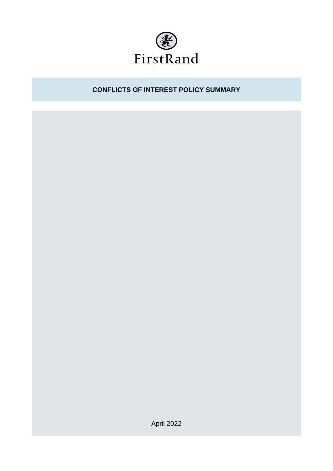

# **CONFLICTS OF INTEREST POLICY SUMMARY**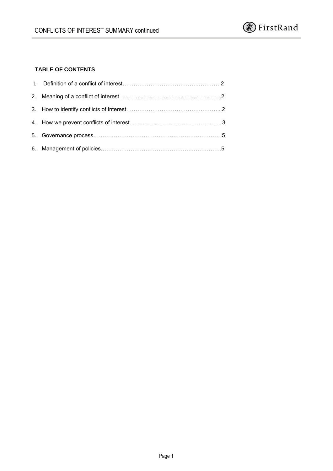

## **TABLE OF CONTENTS**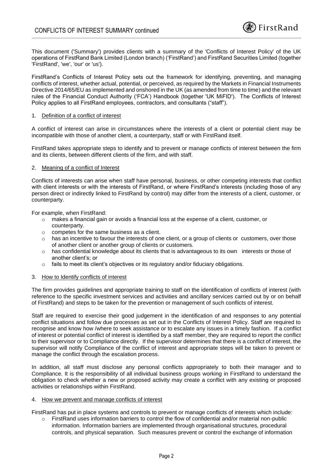This document ('Summary') provides clients with a summary of the 'Conflicts of Interest Policy' of the UK operations of FirstRand Bank Limited (London branch) ('FirstRand') and FirstRand Securities Limited (together 'FirstRand', 'we', 'our' or 'us').

FirstRand's Conflicts of Interest Policy sets out the framework for identifying, preventing, and managing conflicts of interest, whether actual, potential, or perceived, as required by the Markets in Financial Instruments Directive 2014/65/EU as implemented and onshored in the UK (as amended from time to time) and the relevant rules of the Financial Conduct Authority ('FCA') Handbook (together 'UK MiFID'). The Conflicts of Interest Policy applies to all FirstRand employees, contractors, and consultants ("staff").

#### 1. Definition of a conflict of interest

A conflict of interest can arise in circumstances where the interests of a client or potential client may be incompatible with those of another client, a counterparty, staff or with FirstRand itself.

FirstRand takes appropriate steps to identify and to prevent or manage conflicts of interest between the firm and its clients, between different clients of the firm, and with staff.

#### 2. Meaning of a conflict of Interest

Conflicts of interests can arise when staff have personal, business, or other competing interests that conflict with client interests or with the interests of FirstRand, or where FirstRand's interests (including those of any person direct or indirectly linked to FirstRand by control) may differ from the interests of a client, customer, or counterparty.

For example, when FirstRand:

- o makes a financial gain or avoids a financial loss at the expense of a client, customer, or counterparty.
- o competes for the same business as a client.
- $\circ$  has an incentive to favour the interests of one client, or a group of clients or customers, over those of another client or another group of clients or customers.
- o has confidential knowledge about its clients that is advantageous to its own interests or those of another client's; or
- $\circ$  fails to meet its client's objectives or its regulatory and/or fiduciary obligations.

#### 3. How to Identify conflicts of interest

The firm provides guidelines and appropriate training to staff on the identification of conflicts of interest (with reference to the specific investment services and activities and ancillary services carried out by or on behalf of FirstRand) and steps to be taken for the prevention or management of such conflicts of interest.

Staff are required to exercise their good judgement in the identification of and responses to any potential conflict situations and follow due processes as set out in the Conflicts of Interest Policy. Staff are required to recognise and know how /where to seek assistance or to escalate any issues in a timely fashion. If a conflict of interest or potential conflict of interest is identified by a staff member, they are required to report the conflict to their supervisor or to Compliance directly. If the supervisor determines that there is a conflict of interest, the supervisor will notify Compliance of the conflict of interest and appropriate steps will be taken to prevent or manage the conflict through the escalation process.

In addition, all staff must disclose any personal conflicts appropriately to both their manager and to Compliance. It is the responsibility of all individual business groups working in FirstRand to understand the obligation to check whether a new or proposed activity may create a conflict with any existing or proposed activities or relationships within FirstRand.

#### 4. How we prevent and manage conflicts of interest

FirstRand has put in place systems and controls to prevent or manage conflicts of interests which include:

FirstRand uses information barriers to control the flow of confidential and/or material non-public information. Information barriers are implemented through organisational structures, procedural controls, and physical separation. Such measures prevent or control the exchange of information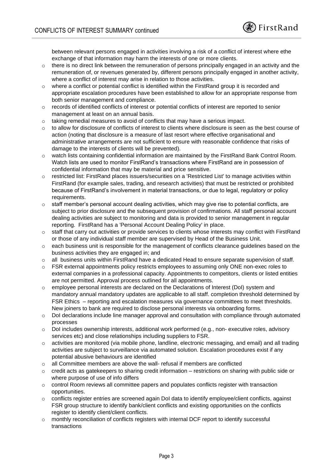between relevant persons engaged in activities involving a risk of a conflict of interest where ethe exchange of that information may harm the interests of one or more clients.

- $\circ$  there is no direct link between the remuneration of persons principally engaged in an activity and the remuneration of, or revenues generated by, different persons principally engaged in another activity, where a conflict of interest may arise in relation to those activities.
- $\circ$  where a conflict or potential conflict is identified within the FirstRand group it is recorded and appropriate escalation procedures have been established to allow for an appropriate response from both senior management and compliance.
- o records of identified conflicts of interest or potential conflicts of interest are reported to senior management at least on an annual basis.
- $\circ$  taking remedial measures to avoid of conflicts that may have a serious impact.
- o to allow for disclosure of conflicts of interest to clients where disclosure is seen as the best course of action (noting that disclosure is a measure of last resort where effective organisational and administrative arrangements are not sufficient to ensure with reasonable confidence that risks of damage to the interests of clients will be prevented).
- o watch lists containing confidential information are maintained by the FirstRand Bank Control Room. Watch lists are used to monitor FirstRand's transactions where FirstRand are in possession of confidential information that may be material and price sensitive.
- o restricted list: FirstRand places issuers/securities on a 'Restricted List' to manage activities within FirstRand (for example sales, trading, and research activities) that must be restricted or prohibited because of FirstRand's involvement in material transactions, or due to legal, regulatory or policy requirements.
- $\circ$  staff member's personal account dealing activities, which may give rise to potential conflicts, are subject to prior disclosure and the subsequent provision of confirmations. All staff personal account dealing activities are subject to monitoring and data is provided to senior management in regular reporting. FirstRand has a 'Personal Account Dealing Policy' in place.
- o staff that carry out activities or provide services to clients whose interests may conflict with FirstRand or those of any individual staff member are supervised by Head of the Business Unit.
- o each business unit is responsible for the management of conflicts clearance guidelines based on the business activities they are engaged in; and
- o all business units within FirstRand have a dedicated Head to ensure separate supervision of staff.
- $\circ$  FSR external appointments policy restricts employees to assuming only ONE non-exec roles to external companies in a professional capacity. Appointments to competitors, clients or listed entities are not permitted. Approval process outlined for all appointments.
- o employee personal interests are declared on the Declarations of Interest (DoI) system and mandatory annual mandatory updates are applicable to all staff. completion threshold determined by FSR Ethics – reporting and escalation measures via governance committees to meet thresholds. New joiners to bank are required to disclose personal interests via onboarding forms.
- o DoI declarations include line manager approval and consultation with compliance through automated processes
- o DoI includes ownership interests, additional work performed (e.g., non- executive roles, advisory services etc) and close relationships including suppliers to FSR.
- o activities are monitored (via mobile phone, landline, electronic messaging, and email) and all trading activities are subject to surveillance via automated solution. Escalation procedures exist if any potential abusive behaviours are identified
- o all Committee members are above the wall- refusal if members are conflicted
- $\circ$  credit acts as gatekeepers to sharing credit information restrictions on sharing with public side or where purpose of use of info differs
- $\circ$  control Room reviews all committee papers and populates conflicts register with transaction opportunities.
- o conflicts register entries are screened again DoI data to identify employee/client conflicts, against FSR group structure to identify bank/client conflicts and existing opportunities on the conflicts register to identify client/client conflicts.
- o monthly reconciliation of conflicts registers with internal DCF report to identify successful transactions